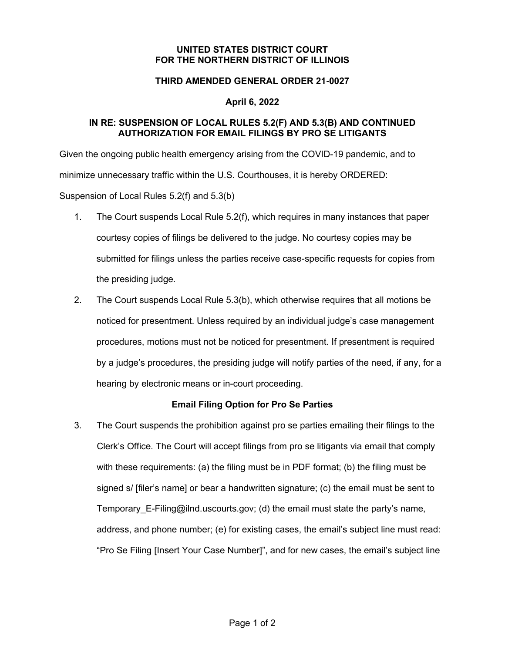#### **UNITED STATES DISTRICT COURT FOR THE NORTHERN DISTRICT OF ILLINOIS**

#### **THIRD AMENDED GENERAL ORDER 21-0027**

### **April 6, 2022**

### **IN RE: SUSPENSION OF LOCAL RULES 5.2(F) AND 5.3(B) AND CONTINUED AUTHORIZATION FOR EMAIL FILINGS BY PRO SE LITIGANTS**

Given the ongoing public health emergency arising from the COVID-19 pandemic, and to minimize unnecessary traffic within the U.S. Courthouses, it is hereby ORDERED: Suspension of Local Rules 5.2(f) and 5.3(b)

- 1. The Court suspends Local Rule 5.2(f), which requires in many instances that paper courtesy copies of filings be delivered to the judge. No courtesy copies may be submitted for filings unless the parties receive case-specific requests for copies from the presiding judge.
- 2. The Court suspends Local Rule 5.3(b), which otherwise requires that all motions be noticed for presentment. Unless required by an individual judge's case management procedures, motions must not be noticed for presentment. If presentment is required by a judge's procedures, the presiding judge will notify parties of the need, if any, for a hearing by electronic means or in-court proceeding.

## **Email Filing Option for Pro Se Parties**

3. The Court suspends the prohibition against pro se parties emailing their filings to the Clerk's Office. The Court will accept filings from pro se litigants via email that comply with these requirements: (a) the filing must be in PDF format; (b) the filing must be signed s/ [filer's name] or bear a handwritten signature; (c) the email must be sent to Temporary E-Filing@ilnd.uscourts.gov; (d) the email must state the party's name, address, and phone number; (e) for existing cases, the email's subject line must read: "Pro Se Filing [Insert Your Case Number]", and for new cases, the email's subject line